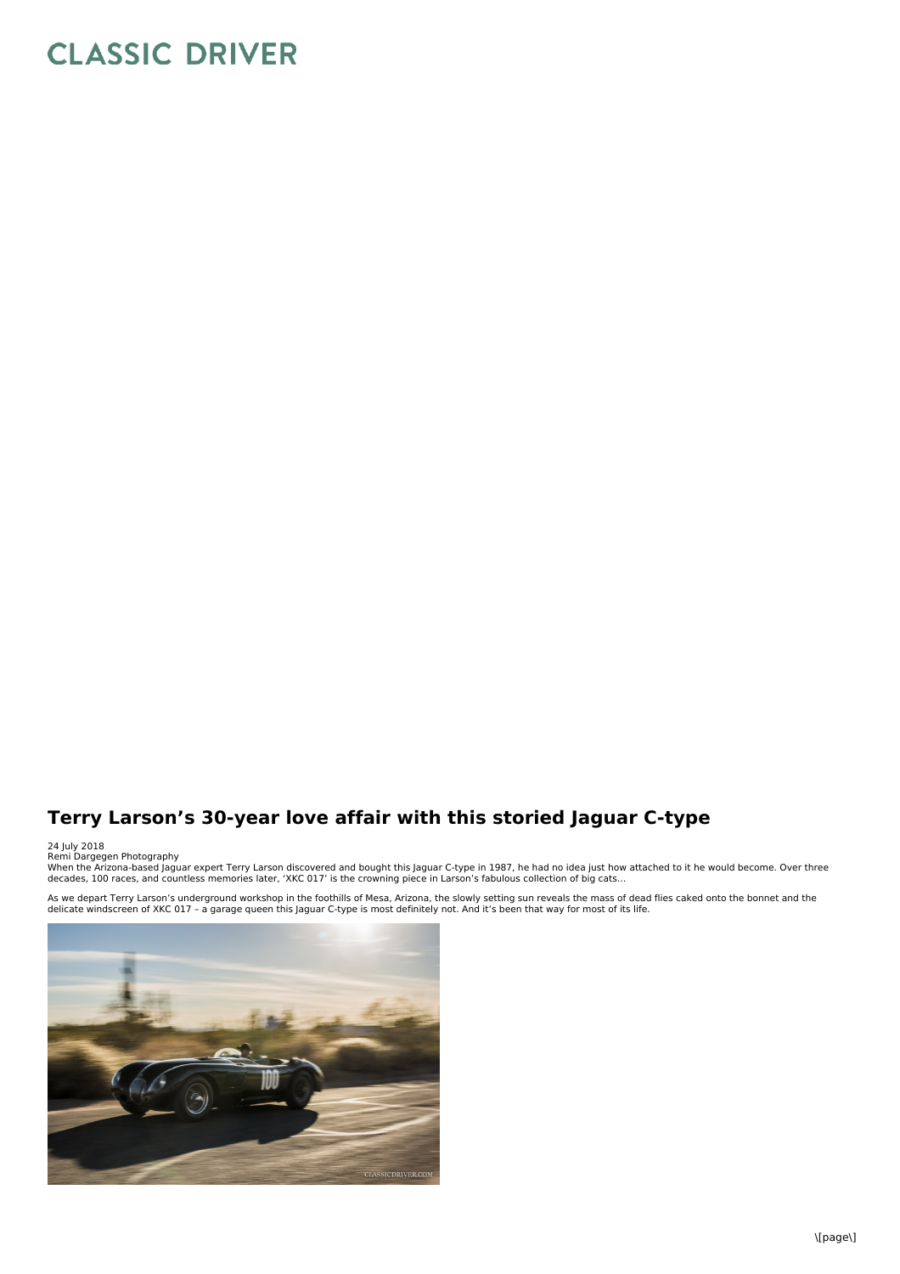## **CLASSIC DRIVER**

## **Terry Larson's 30-year love affair with this storied Jaguar C-type**

24 July 2018<br>Remi Dargegen Photography<br>When the Arizona-based Jaguar expert Terry Larson discovered and bought this Jaguar C-type in 1987, he had no idea just how attached to it he would become. Over three<br>When the Arizona

As we depart Terry Larson's underground workshop in the foothills of Mesa, Arizona, the slowly setting sun reveals the mass of dead flies caked onto the bonnet and the<br>delicate windscreen of XKC 017 - a garage queen this J

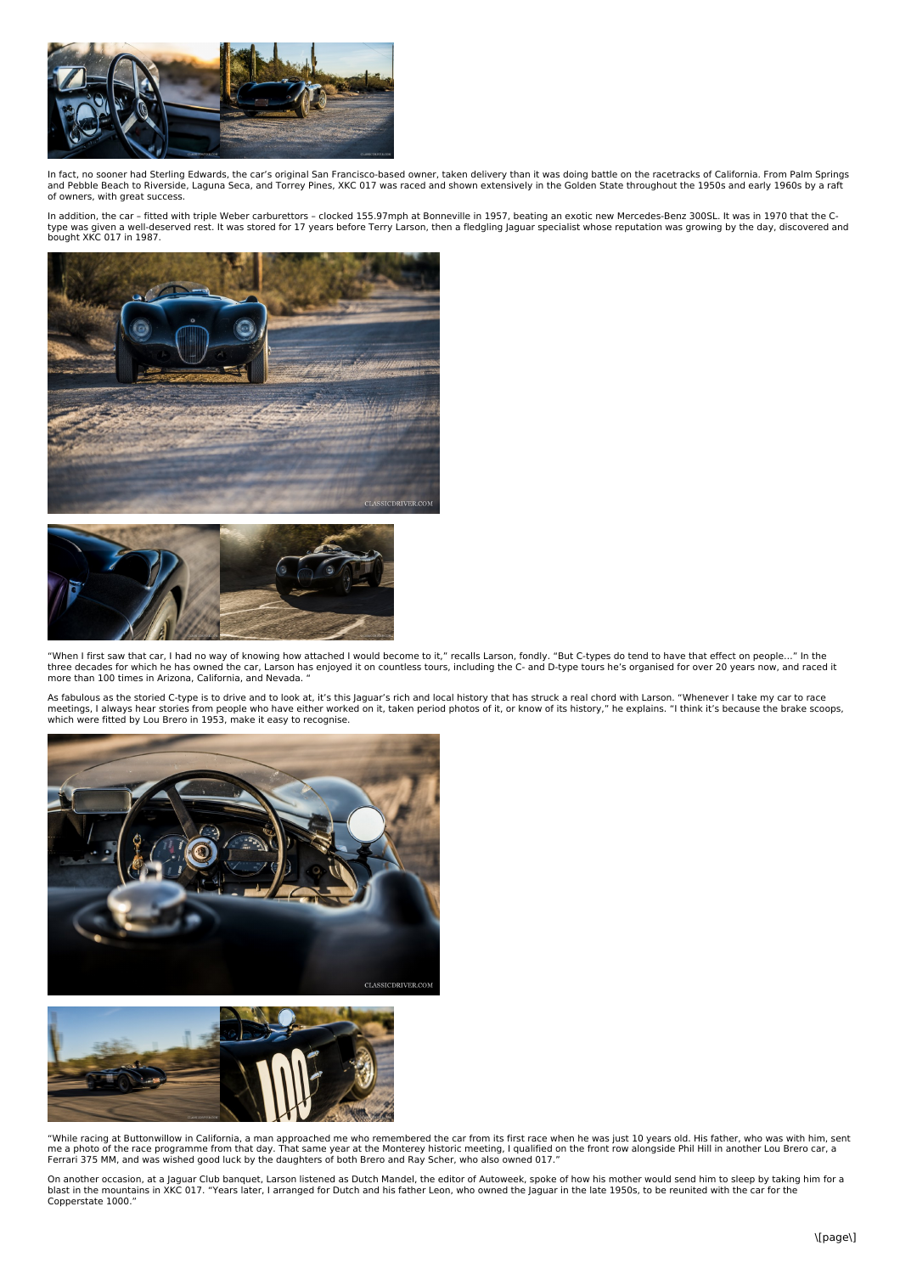

In fact, no sooner had Sterling Edwards, the car's original San Francisco-based owner, taken delivery than it was doing battle on the racetracks of California. From Palm Springs and Pebble Beach to Riverside, Laguna Seca, and Torrey Pines, XKC 017 was raced and shown extensively in the Golden State throughout the 1950s and early 1960s by a raft of owners, with great success.

In addition, the car - fitted with triple Weber carburettors - clocked 155.97mph at Bonneville in 1957, beating an exotic new Mercedes-Benz 300SL. It was in 1970 that the C-<br>type was given a well-deserved rest. It was stor bought XKC 017 in 1987.





"When I first saw that car, I had no way of knowing how attached I would become to it," recalls Larson, fondly. "But C-types do tend to have that effect on people..." In the<br>three decades for which he has owned the car, La more than 100 times in Arizona, California, and Nevada. "

As fabulous as the storied C-type is to drive and to look at, it's this Jaguar's rich and local history that has struck a real chord with Larson. "Whenever I take my car to race<br>meetings, I always hear stories from people





"While racing at Buttonwillow in California, a man approached me who remembered the car from its first race when he was just 10 years old. His father, who was with him, sent me a photo of the race programme from that day. That same year at the Monterey historic meeting, I qualified on the front row alongside Phil Hill in another Lou Brero car, a<br>Ferrari 375 MM, and was wished good luck by the

On another occasion, at a Jaguar Club banquet, Larson listened as Dutch Mandel, the editor of Autoweek, spoke of how his mother would send him to sleep by taking him for a<br>blast in the mountains in XKC 017. "Years later, I Copperstate 1000."